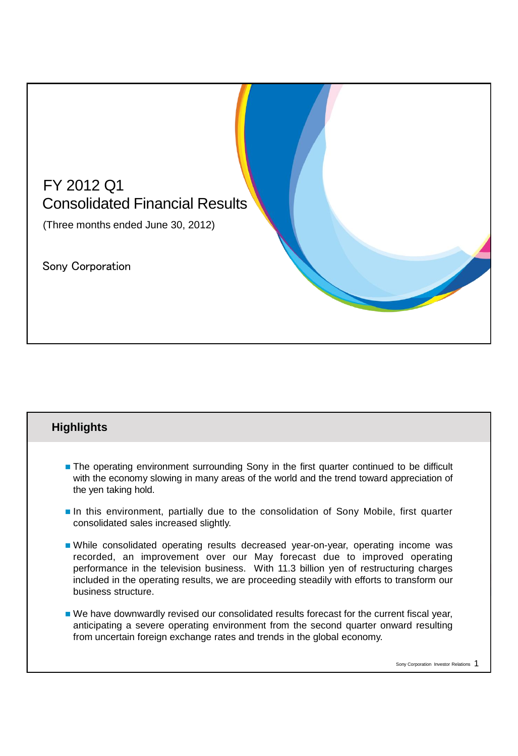

## **Highlights**

- **The operating environment surrounding Sony in the first quarter continued to be difficult** with the economy slowing in many areas of the world and the trend toward appreciation of the yen taking hold.
- **In this environment, partially due to the consolidation of Sony Mobile, first quarter** consolidated sales increased slightly.
- While consolidated operating results decreased year-on-year, operating income was recorded, an improvement over our May forecast due to improved operating performance in the television business. With 11.3 billion yen of restructuring charges included in the operating results, we are proceeding steadily with efforts to transform our business structure.
- We have downwardly revised our consolidated results forecast for the current fiscal year, anticipating a severe operating environment from the second quarter onward resulting from uncertain foreign exchange rates and trends in the global economy.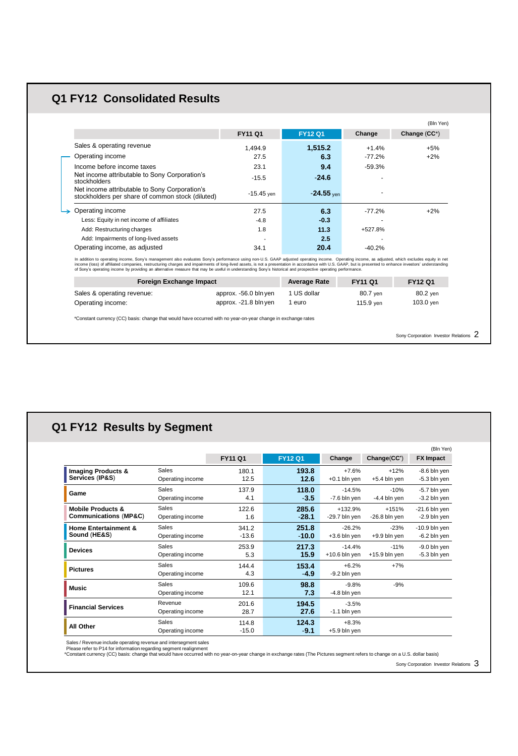## **Q1 FY12 Consolidated Results**

|                                                                                                   |                |                |          | (Bln Yen)    |
|---------------------------------------------------------------------------------------------------|----------------|----------------|----------|--------------|
|                                                                                                   | <b>FY11 Q1</b> | <b>FY12 Q1</b> | Change   | Change (CC*) |
| Sales & operating revenue                                                                         | 1.494.9        | 1,515.2        | $+1.4%$  | $+5%$        |
| Operating income                                                                                  | 27.5           | 6.3            | $-77.2%$ | $+2%$        |
| Income before income taxes                                                                        | 23.1           | 9.4            | $-59.3%$ |              |
| Net income attributable to Sony Corporation's<br>stockholders                                     | $-15.5$        | $-24.6$        |          |              |
| Net income attributable to Sony Corporation's<br>stockholders per share of common stock (diluted) | $-15.45$ yen   | $-24.55$ ven   |          |              |
| Operating income                                                                                  | 27.5           | 6.3            | $-77.2%$ | $+2%$        |
| Less: Equity in net income of affiliates                                                          | $-4.8$         | $-0.3$         | ۰        |              |
| Add: Restructuring charges                                                                        | 1.8            | 11.3           | +527.8%  |              |
| Add: Impairments of long-lived assets                                                             |                | 2.5            |          |              |
| Operating income, as adjusted                                                                     | 34.1           | 20.4           | $-40.2%$ |              |

In addition to operating income, Sony's management also evaluates Sony's performance using non-U.S. GAAP adjusted operating income. Operating income, as adjusted, which excludes equity in net<br>income (loss) of affiliated co

| <b>Foreign Exchange Impact</b>                  |                                                | <b>Average Rate</b>   | <b>FY11 Q1</b>        | <b>FY12 Q1</b>        |
|-------------------------------------------------|------------------------------------------------|-----------------------|-----------------------|-----------------------|
| Sales & operating revenue:<br>Operating income: | approx. -56.0 bln yen<br>approx. -21.8 bln yen | 1 US dollar<br>1 euro | 80.7 ven<br>115.9 ven | 80.2 ven<br>103.0 ven |
|                                                 |                                                |                       |                       |                       |

\*Constant currency (CC) basis: change that would have occurred with no year-on-year change in exchange rates

Sony Corporation Investor Relations 2

#### **Imaging Products & Services** (**IP&S**) **FY11 Q1 FY12 Q1 Change FX Impact Change**(**CC\*** ) Sales **180.1** +7.6% Operating income 12.5 **193.8 12.6** +0.1 bln yen +12% +5.4 bln yen -8.6 bln yen -5.3 bln yen (Bln Yen) **Game** Sales 5 Sales 137.9 **118.0** -14.5% Operating income 4.1 **118.0** -**3.5** -7.6 bln yen -10% -4.4 bln yen -5.7 bln yen -3.2 bln yen **Mobile Products & Communications** (**MP&C**) Sales 122.6 **285.6** +132.9%<br>Operating income 1.6 -28.1 -29.7 bln yen Operating income 1.6 **285.6** -**28.1** -29.7 bln yen +151% -26.8 bln yen -21.6 bln yen -2.9 bln yen **Home Entertainment & Sound** (**HE&S**) Sales 341.2 251.8 -26.2% Operating income -13.6 **251.8** -**10.0** +3.6 bln yen -23% +9.9 bln yen -10.9 bln yen -6.2 bln yen 8ales 253.9 **217.3** -14.4%<br>**Devices** 253.9 253.9 **217.3** -14.4% Operating income 5.3 **217.3 15.9** +10.6 bln yen -11% +15.9 bln yen -9.0 bln yen -5.3 bln yen **Pictures** Sales 144.4 +6.2% Operating income 4.3 **153.4** -**4.9** -9.2 bln yen +7% 8ales 109.6 **98.8** -9.8% **Music**<br>مدیر المال 10.4 - 10.4 - 10.4 - 10.4 - 10.4 - 10.4 - 10.4 - 10.4 - 10.4 - 10.4 - 10.4 - 10.4 - 10.4 - 10.4 - 10 Operating income 12.1 **98.8 7.3** -4.8 bln yen -9% **Financial Services** Revenue 201.6 - 201.6 - 201.6 - 201.6 - 201.6 - 3.5% Operating income **194.5 27.6** -1.1 bln yen **All Other** Sales 114.8 **124.3** +8.3%<br>**All Other** Constitutions 15.8 **16.8 16.8 0.4 15.8 blogs** Operating income -15.0 **124.3** -**9.1** +5.9 bln yen **Q1 FY12 Results by Segment**

. Sales / Revenue include operating revenue and intersegment sales<br>. Please refer to P14 for information regarding segment realignment<br>\*Constant currency (CC) basis: change that would have occurred with no year-on-year cha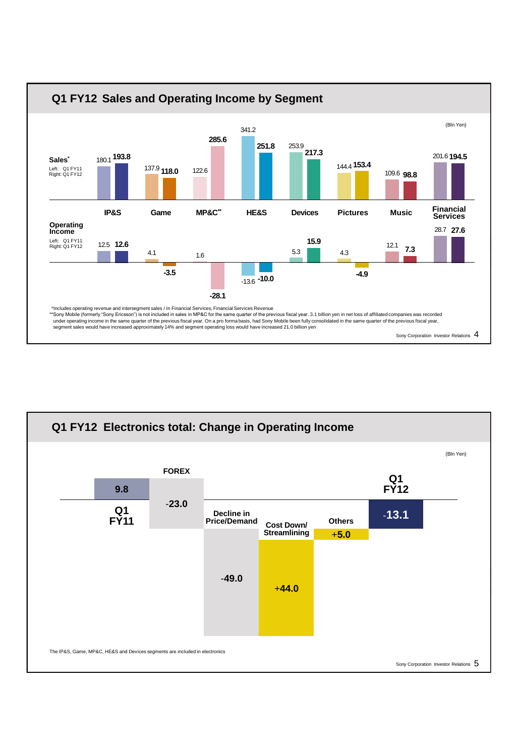

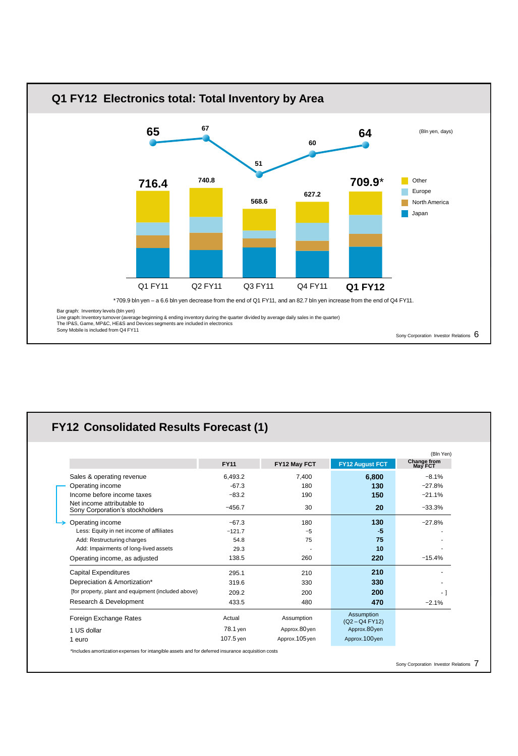

# **FY12 Consolidated Results Forecast (1)**

|                                                                                                    |             |               |                                | (Bln Yen)              |
|----------------------------------------------------------------------------------------------------|-------------|---------------|--------------------------------|------------------------|
|                                                                                                    | <b>FY11</b> | FY12 May FCT  | <b>FY12 August FCT</b>         | Change from<br>May FCT |
| Sales & operating revenue                                                                          | 6,493.2     | 7,400         | 6,800                          | $-8.1%$                |
| Operating income                                                                                   | $-67.3$     | 180           | 130                            | $-27.8%$               |
| Income before income taxes                                                                         | $-83.2$     | 190           | 150                            | $-21.1%$               |
| Net income attributable to<br>Sony Corporation's stockholders                                      | $-456.7$    | 30            | 20                             | $-33.3%$               |
| Operating income                                                                                   | $-67.3$     | 180           | 130                            | $-27.8%$               |
| Less: Equity in net income of affiliates                                                           | $-121.7$    | $-5$          | $-5$                           |                        |
| Add: Restructuring charges                                                                         | 54.8        | 75            | 75                             |                        |
| Add: Impairments of long-lived assets                                                              | 29.3        |               | 10                             |                        |
| Operating income, as adjusted                                                                      | 138.5       | 260           | 220                            | $-15.4%$               |
| <b>Capital Expenditures</b>                                                                        | 295.1       | 210           | 210                            |                        |
| Depreciation & Amortization*                                                                       | 319.6       | 330           | 330                            |                        |
| [for property, plant and equipment (included above)                                                | 209.2       | 200           | 200                            | $\cdot$ ]              |
| Research & Development                                                                             | 433.5       | 480           | 470                            | $-2.1%$                |
| Foreign Exchange Rates                                                                             | Actual      | Assumption    | Assumption<br>$(Q2 - Q4 FY12)$ |                        |
| 1 US dollar                                                                                        | 78.1 yen    | Approx.80yen  | Approx.80yen                   |                        |
| 1 euro                                                                                             | 107.5 yen   | Approx.105yen | Approx.100yen                  |                        |
| *Includes amortization expenses for intangible assets and for deferred insurance acquisition costs |             |               |                                |                        |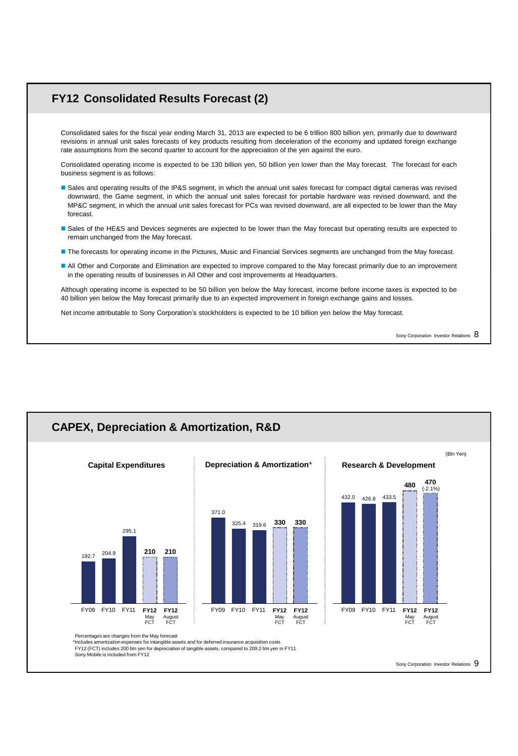### **FY12 Consolidated Results Forecast (2)**

Consolidated sales for the fiscal year ending March 31, 2013 are expected to be 6 trillion 800 billion yen, primarily due to downward revisions in annual unit sales forecasts of key products resulting from deceleration of the economy and updated foreign exchange rate assumptions from the second quarter to account for the appreciation of the yen against the euro.

Consolidated operating income is expected to be 130 billion yen, 50 billion yen lower than the May forecast. The forecast for each business segment is as follows:

- Sales and operating results of the IP&S segment, in which the annual unit sales forecast for compact digital cameras was revised downward, the Game segment, in which the annual unit sales forecast for portable hardware was revised downward, and the MP&C segment, in which the annual unit sales forecast for PCs was revised downward, are all expected to be lower than the May forecast.
- Sales of the HE&S and Devices segments are expected to be lower than the May forecast but operating results are expected to remain unchanged from the May forecast.
- The forecasts for operating income in the Pictures, Music and Financial Services segments are unchanged from the May forecast.
- All Other and Corporate and Elimination are expected to improve compared to the May forecast primarily due to an improvement in the operating results of businesses in All Other and cost improvements at Headquarters.

Although operating income is expected to be 50 billion yen below the May forecast, income before income taxes is expected to be 40 billion yen below the May forecast primarily due to an expected improvement in foreign exchange gains and losses.

Net income attributable to Sony Corporation's stockholders is expected to be 10 billion yen below the May forecast.

Sony Corporation Investor Relations 8

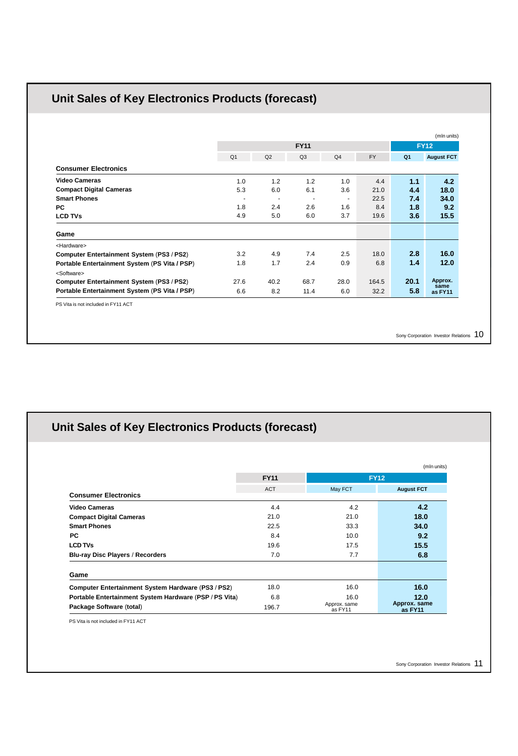# **Unit Sales of Key Electronics Products (forecast)**

|                                               |                | <b>FY11</b><br><b>FY12</b> |                          |                          |           |                |                   |  |
|-----------------------------------------------|----------------|----------------------------|--------------------------|--------------------------|-----------|----------------|-------------------|--|
|                                               | Q <sub>1</sub> | Q2                         | Q <sub>3</sub>           | Q <sub>4</sub>           | <b>FY</b> | Q <sub>1</sub> | <b>August FCT</b> |  |
| <b>Consumer Electronics</b>                   |                |                            |                          |                          |           |                |                   |  |
| <b>Video Cameras</b>                          | 1.0            | 1.2                        | 1.2                      | 1.0                      | 4.4       | 1.1            | 4.2               |  |
| <b>Compact Digital Cameras</b>                | 5.3            | 6.0                        | 6.1                      | 3.6                      | 21.0      | 4.4            | 18.0              |  |
| <b>Smart Phones</b>                           | ٠              | $\overline{\phantom{a}}$   | $\overline{\phantom{a}}$ | $\overline{\phantom{a}}$ | 22.5      | 7.4            | 34.0              |  |
| <b>PC</b>                                     | 1.8            | 2.4                        | 2.6                      | 1.6                      | 8.4       | 1.8            | 9.2               |  |
| <b>LCD TVs</b>                                | 4.9            | 5.0                        | 6.0                      | 3.7                      | 19.6      | 3.6            | 15.5              |  |
| Game                                          |                |                            |                          |                          |           |                |                   |  |
| <hardware></hardware>                         |                |                            |                          |                          |           |                |                   |  |
| Computer Entertainment System (PS3 / PS2)     | 3.2            | 4.9                        | 7.4                      | 2.5                      | 18.0      | 2.8            | 16.0              |  |
| Portable Entertainment System (PS Vita / PSP) | 1.8            | 1.7                        | 2.4                      | 0.9                      | 6.8       | 1.4            | 12.0              |  |
| <software></software>                         |                |                            |                          |                          |           |                |                   |  |
| Computer Entertainment System (PS3 / PS2)     | 27.6           | 40.2                       | 68.7                     | 28.0                     | 164.5     | 20.1           | Approx.           |  |
| Portable Entertainment System (PS Vita / PSP) | 6.6            | 8.2                        | 11.4                     | 6.0                      | 32.2      | 5.8            | same<br>as FY11   |  |

Sony Corporation Investor Relations 10

# **Unit Sales of Key Electronics Products (forecast)**

|                                                        |             |                         | (mln units)             |
|--------------------------------------------------------|-------------|-------------------------|-------------------------|
|                                                        | <b>FY11</b> |                         | <b>FY12</b>             |
| <b>Consumer Electronics</b>                            | <b>ACT</b>  | May FCT                 | <b>August FCT</b>       |
| <b>Video Cameras</b>                                   | 4.4         | 4.2                     | 4.2                     |
| <b>Compact Digital Cameras</b>                         | 21.0        | 21.0                    | 18.0                    |
| <b>Smart Phones</b>                                    | 22.5        | 33.3                    | 34.0                    |
| <b>PC</b>                                              | 8.4         | 10.0                    | 9.2                     |
| <b>LCD TVs</b>                                         | 19.6        | 17.5                    | 15.5                    |
| <b>Blu-ray Disc Players / Recorders</b>                | 7.0         | 7.7                     | 6.8                     |
| Game                                                   |             |                         |                         |
| Computer Entertainment System Hardware (PS3 / PS2)     | 18.0        | 16.0                    | 16.0                    |
| Portable Entertainment System Hardware (PSP / PS Vita) | 6.8         | 16.0                    | 12.0                    |
| Package Software (total)                               | 196.7       | Approx. same<br>as FY11 | Approx. same<br>as FY11 |

PS Vita is not included in FY11 ACT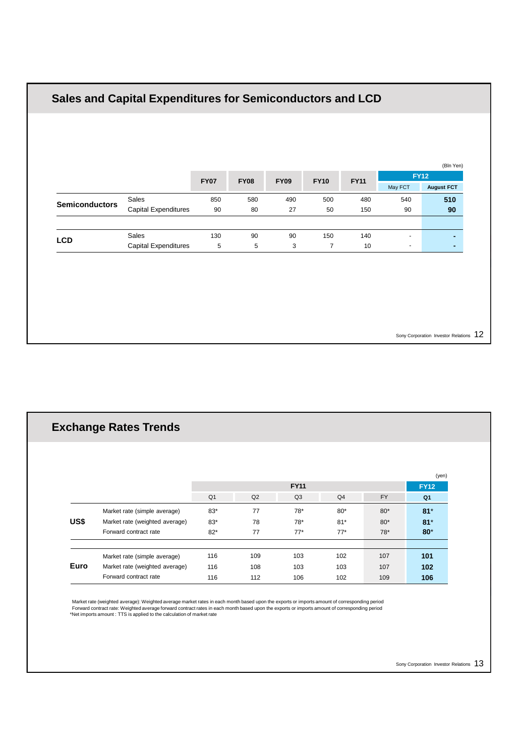|                       |                             |             |             |             |                |             |                          | (Bln Yen)                        |
|-----------------------|-----------------------------|-------------|-------------|-------------|----------------|-------------|--------------------------|----------------------------------|
|                       |                             | <b>FY07</b> | <b>FY08</b> | <b>FY09</b> | <b>FY10</b>    | <b>FY11</b> | May FCT                  | <b>FY12</b><br><b>August FCT</b> |
|                       | Sales                       | 850         | 580         | 490         | 500            | 480         | 540                      | 510                              |
| <b>Semiconductors</b> | <b>Capital Expenditures</b> | 90          | 80          | 27          | 50             | 150         | 90                       | 90                               |
|                       | Sales                       | 130         | 90          | 90          | 150            | 140         | $\blacksquare$           | ۰                                |
| LCD                   | <b>Capital Expenditures</b> | 5           | 5           | 3           | $\overline{7}$ | 10          | $\overline{\phantom{a}}$ | ٠                                |
|                       |                             |             |             |             |                |             |                          |                                  |

|      | <b>Exchange Rates Trends</b>   |                |     |                |                |           |                |
|------|--------------------------------|----------------|-----|----------------|----------------|-----------|----------------|
|      |                                |                |     |                |                |           |                |
|      |                                |                |     |                |                |           | (yen)          |
|      |                                |                |     | <b>FY11</b>    |                |           | <b>FY12</b>    |
|      |                                | Q <sub>1</sub> | Q2  | Q <sub>3</sub> | Q <sub>4</sub> | <b>FY</b> | Q <sub>1</sub> |
|      | Market rate (simple average)   | $83*$          | 77  | $78*$          | $80*$          | $80*$     | $81*$          |
| US\$ | Market rate (weighted average) | $83*$          | 78  | $78*$          | $81*$          | $80*$     | $81*$          |
|      | Forward contract rate          | $82*$          | 77  | $77*$          | $77*$          | $78*$     | $80*$          |
|      |                                |                |     |                |                |           |                |
|      | Market rate (simple average)   | 116            | 109 | 103            | 102            | 107       | 101            |
| Euro | Market rate (weighted average) | 116            | 108 | 103            | 103            | 107       | 102            |
|      | Forward contract rate          | 116            | 112 | 106            | 102            | 109       | 106            |

Market rate (weighted average): Weighted average market rates in each month based upon the exports or imports amount of corresponding period<br>Forward contract rate: Weighted average forward contract rates in each month base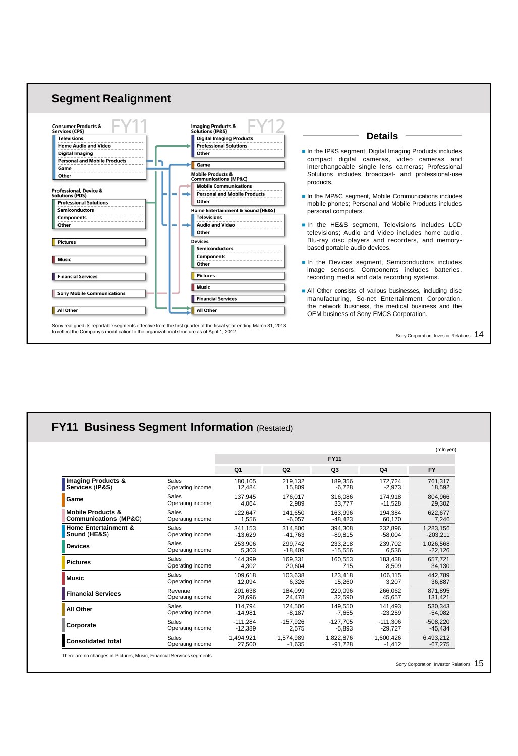

|                                  |                  |                |            |                |                | (mln yen)  |
|----------------------------------|------------------|----------------|------------|----------------|----------------|------------|
|                                  |                  |                |            | <b>FY11</b>    |                |            |
|                                  |                  | Q <sub>1</sub> | Q2         | Q <sub>3</sub> | Q <sub>4</sub> | <b>FY</b>  |
| Imaging Products &               | Sales            | 180.105        | 219.132    | 189.356        | 172.724        | 761.317    |
| Services (IP&S)                  | Operating income | 12.484         | 15.809     | $-6.728$       | $-2.973$       | 18,592     |
| Game                             | Sales            | 137.945        | 176.017    | 316.086        | 174.918        | 804.966    |
|                                  | Operating income | 4.064          | 2.989      | 33.777         | $-11.528$      | 29.302     |
| <b>Mobile Products &amp;</b>     | <b>Sales</b>     | 122,647        | 141.650    | 163.996        | 194,384        | 622,677    |
| <b>Communications (MP&amp;C)</b> | Operating income | 1.556          | $-6.057$   | $-48.423$      | 60.170         | 7.246      |
| <b>Home Entertainment &amp;</b>  | Sales            | 341.153        | 314.800    | 394.308        | 232.896        | 1,283,156  |
| Sound (HE&S)                     | Operating income | $-13.629$      | $-41.763$  | $-89.815$      | $-58,004$      | $-203.211$ |
| <b>Devices</b>                   | Sales            | 253.906        | 299.742    | 233.218        | 239.702        | 1.026.568  |
|                                  | Operating income | 5.303          | $-18.409$  | $-15.556$      | 6.536          | $-22,126$  |
| <b>Pictures</b>                  | Sales            | 144.399        | 169.331    | 160.553        | 183.438        | 657.721    |
|                                  | Operating income | 4,302          | 20.604     | 715            | 8,509          | 34,130     |
| <b>Music</b>                     | Sales            | 109.618        | 103.638    | 123.418        | 106.115        | 442.789    |
|                                  | Operating income | 12.094         | 6.326      | 15.260         | 3.207          | 36,887     |
| <b>Financial Services</b>        | Revenue          | 201.638        | 184.099    | 220.096        | 266.062        | 871.895    |
|                                  | Operating income | 28.696         | 24.478     | 32.590         | 45.657         | 131.421    |
| All Other                        | Sales            | 114.794        | 124.506    | 149.550        | 141.493        | 530.343    |
|                                  | Operating income | $-14,981$      | $-8.187$   | $-7,655$       | $-23,259$      | $-54,082$  |
| Corporate                        | Sales            | $-111.284$     | $-157.926$ | $-127.705$     | $-111.306$     | $-508.220$ |
|                                  | Operating income | $-12.389$      | 2.575      | $-5.893$       | $-29.727$      | $-45,434$  |
| <b>Consolidated total</b>        | Sales            | 1,494,921      | 1.574.989  | 1,822,876      | 1.600.426      | 6,493,212  |
|                                  | Operating income | 27,500         | $-1,635$   | $-91,728$      | $-1,412$       | $-67,275$  |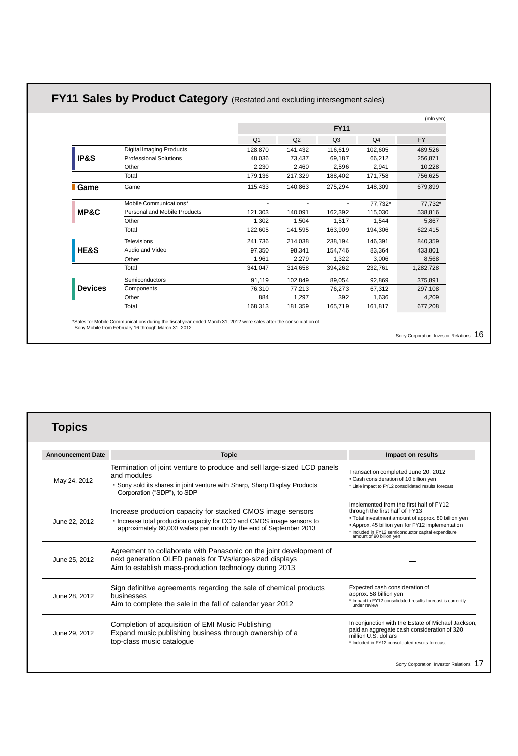# **FY11 Sales by Product Category** (Restated and excluding intersegment sales)

|                 |                                     |                |                |                          |                | (mln yen) |
|-----------------|-------------------------------------|----------------|----------------|--------------------------|----------------|-----------|
|                 |                                     |                |                | <b>FY11</b>              |                |           |
|                 |                                     | Q <sub>1</sub> | Q2             | Q <sub>3</sub>           | Q <sub>4</sub> | <b>FY</b> |
|                 | <b>Digital Imaging Products</b>     | 128,870        | 141,432        | 116,619                  | 102,605        | 489,526   |
| IP&S            | Professional Solutions              | 48,036         | 73,437         | 69,187                   | 66,212         | 256,871   |
|                 | Other                               | 2,230          | 2,460          | 2,596                    | 2,941          | 10,228    |
|                 | Total                               | 179,136        | 217,329        | 188,402                  | 171,758        | 756,625   |
| <b>Game</b>     | Game                                | 115,433        | 140,863        | 275,294                  | 148,309        | 679,899   |
|                 | Mobile Communications*              |                | $\overline{a}$ | $\overline{\phantom{0}}$ | 77.732*        | 77,732*   |
| MP&C            | <b>Personal and Mobile Products</b> | 121,303        | 140,091        | 162,392                  | 115,030        | 538,816   |
|                 | Other                               | 1.302          | 1.504          | 1.517                    | 1.544          | 5,867     |
|                 | Total                               | 122,605        | 141,595        | 163,909                  | 194,306        | 622,415   |
|                 | <b>Televisions</b>                  | 241,736        | 214,038        | 238,194                  | 146,391        | 840,359   |
| <b>HE&amp;S</b> | Audio and Video                     | 97,350         | 98,341         | 154,746                  | 83,364         | 433,801   |
|                 | Other                               | 1,961          | 2,279          | 1,322                    | 3,006          | 8,568     |
|                 | Total                               | 341,047        | 314,658        | 394,262                  | 232,761        | 1,282,728 |
|                 | Semiconductors                      | 91,119         | 102,849        | 89,054                   | 92,869         | 375,891   |
| <b>Devices</b>  | Components                          | 76,310         | 77.213         | 76,273                   | 67,312         | 297,108   |
|                 | Other                               | 884            | 1,297          | 392                      | 1,636          | 4,209     |
|                 | Total                               | 168,313        | 181,359        | 165,719                  | 161,817        | 677,208   |
|                 |                                     |                |                |                          |                |           |

\*Sales for Mobile Communications during the fiscal year ended March 31, 2012 were sales after the consolidation of Sony Mobile from February 16 through March 31, 2012

Sony Corporation Investor Relations 16

# **Topics**

| <b>Announcement Date</b> | <b>Topic</b>                                                                                                                                                                                              | Impact on results                                                                                                                                                                                                                                                        |
|--------------------------|-----------------------------------------------------------------------------------------------------------------------------------------------------------------------------------------------------------|--------------------------------------------------------------------------------------------------------------------------------------------------------------------------------------------------------------------------------------------------------------------------|
| May 24, 2012             | Termination of joint venture to produce and sell large-sized LCD panels<br>and modules<br>. Sony sold its shares in joint venture with Sharp, Sharp Display Products<br>Corporation ("SDP"), to SDP       | Transaction completed June 20, 2012<br>• Cash consideration of 10 billion yen<br>* Little impact to FY12 consolidated results forecast                                                                                                                                   |
| June 22, 2012            | Increase production capacity for stacked CMOS image sensors<br>Increase total production capacity for CCD and CMOS image sensors to<br>approximately 60,000 wafers per month by the end of September 2013 | Implemented from the first half of FY12<br>through the first half of FY13<br>• Total investment amount of approx. 80 billion yen<br>• Approx. 45 billion yen for FY12 implementation<br>* Included in FY12 semiconductor capital expenditure<br>amount of 90 billion yen |
| June 25, 2012            | Agreement to collaborate with Panasonic on the joint development of<br>next generation OLED panels for TVs/large-sized displays<br>Aim to establish mass-production technology during 2013                |                                                                                                                                                                                                                                                                          |
| June 28, 2012            | Sign definitive agreements regarding the sale of chemical products<br>businesses<br>Aim to complete the sale in the fall of calendar year 2012                                                            | Expected cash consideration of<br>approx. 58 billion yen<br>* Impact to FY12 consolidated results forecast is currently<br>under review                                                                                                                                  |
| June 29, 2012            | Completion of acquisition of EMI Music Publishing<br>Expand music publishing business through ownership of a<br>top-class music catalogue                                                                 | In conjunction with the Estate of Michael Jackson,<br>paid an aggregate cash consideration of 320<br>million U.S. dollars<br>* Included in FY12 consolidated results forecast                                                                                            |